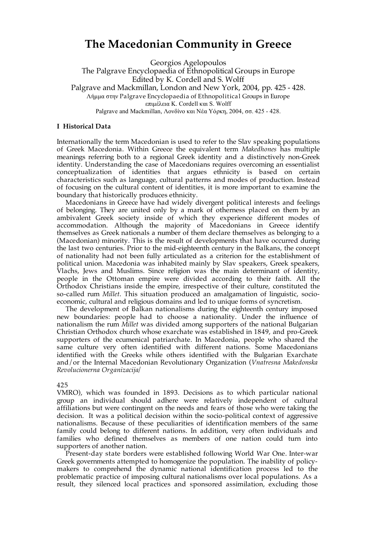# **The Macedonian Community in Greece**

Georgios Agelopoulos The Palgrave Encyclopaedia of Ethnopolitical Groups in Europe Edited by K. Cordell and S. Wolff Palgrave and Mackmillan, London and New York, 2004, pp. 425 - 428. Λήµµα στην Palgrave Encyclopaedia of Ethnopolitical Groups in Europe επιµέλεια K. Cordell και S. Wolff Palgrave and Mackmillan, Λονδίνο και Νέα Υόρκη, 2004, σσ. 425 - 428.

## **I Historical Data**

Internationally the term Macedonian is used to refer to the Slav speaking populations of Greek Macedonia. Within Greece the equivalent term *Makedhones* has multiple meanings referring both to a regional Greek identity and a distinctively non-Greek identity. Understanding the case of Macedonians requires overcoming an essentialist conceptualization of identities that argues ethnicity is based on certain characteristics such as language, cultural patterns and modes of production. Instead of focusing on the cultural content of identities, it is more important to examine the boundary that historically produces ethnicity.

Macedonians in Greece have had widely divergent political interests and feelings of belonging. They are united only by a mark of otherness placed on them by an ambivalent Greek society inside of which they experience different modes of accommodation. Although the majority of Macedonians in Greece identify themselves as Greek nationals a number of them declare themselves as belonging to a (Macedonian) minority. This is the result of developments that have occurred during the last two centuries. Prior to the mid-eighteenth century in the Balkans, the concept of nationality had not been fully articulated as a criterion for the establishment of political union. Macedonia was inhabited mainly by Slav speakers, Greek speakers, Vlachs, Jews and Muslims. Since religion was the main determinant of identity, people in the Ottoman empire were divided according to their faith. All the Orthodox Christians inside the empire, irrespective of their culture, constituted the so-called rum *Millet*. This situation produced an amalgamation of linguistic, socioeconomic, cultural and religious domains and led to unique forms of syncretism.

The development of Balkan nationalisms during the eighteenth century imposed new boundaries: people had to choose a nationality. Under the influence of nationalism the rum *Millet* was divided among supporters of the national Bulgarian Christian Orthodox church whose exarchate was established in 1849, and pro-Greek supporters of the ecumenical patriarchate. In Macedonia, people who shared the same culture very often identified with different nations. Some Macedonians identified with the Greeks while others identified with the Bulgarian Exarchate and/or the Internal Macedonian Revolutionary Organization (*Vnatresna Makedonska Revolucionerna Organizacija/*

#### 425

VMRO), which was founded in 1893. Decisions as to which particular national group an individual should adhere were relatively independent of cultural affiliations but were contingent on the needs and fears of those who were taking the decision. It was a political decision within the socio-political context of aggressive nationalisms. Because of these peculiarities of identification members of the same family could belong to different nations. In addition, very often individuals and families who defined themselves as members of one nation could turn into supporters of another nation.

Present-day state borders were established following World War One. Inter-war Greek governments attempted to homogenize the population. The inability of policymakers to comprehend the dynamic national identification process led to the problematic practice of imposing cultural nationalisms over local populations. As a result, they silenced local practices and sponsored assimilation, excluding those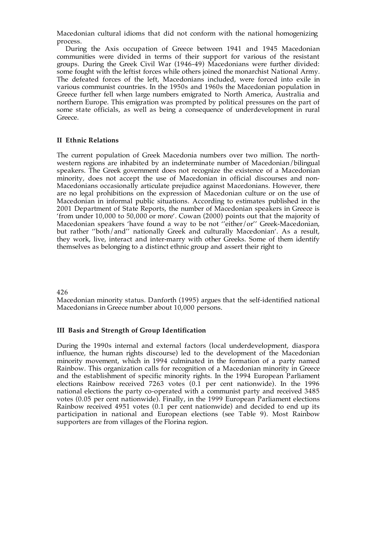Macedonian cultural idioms that did not conform with the national homogenizing process.

During the Axis occupation of Greece between 1941 and 1945 Macedonian communities were divided in terms of their support for various of the resistant groups. During the Greek Civil War (1946-49) Macedonians were further divided: some fought with the leftist forces while others joined the monarchist National Army. The defeated forces of the left, Macedonians included, were forced into exile in various communist countries. In the 1950s and 1960s the Macedonian population in Greece further fell when large numbers emigrated to North America, Australia and northern Europe. This emigration was prompted by political pressures on the part of some state officials, as well as being a consequence of underdevelopment in rural Greece.

## **II Ethnic Relations**

The current population of Greek Macedonia numbers over two million. The northwestern regions are inhabited by an indeterminate number of Macedonian/bilingual speakers. The Greek government does not recognize the existence of a Macedonian minority, does not accept the use of Macedonian in official discourses and non-Macedonians occasionally articulate prejudice against Macedonians. However, there are no legal prohibitions on the expression of Macedonian culture or on the use of Macedonian in informal public situations. According to estimates published in the 2001 Department of State Reports, the number of Macedonian speakers in Greece is 'from under 10,000 to 50,000 or more'. Cowan (2000) points out that the majority of Macedonian speakers 'have found a way to be not ''either/or'' Greek-Macedonian, but rather ''both/and'' nationally Greek and culturally Macedonian'. As a result, they work, live, interact and inter-marry with other Greeks. Some of them identify themselves as belonging to a distinct ethnic group and assert their right to

#### 426

Macedonian minority status. Danforth (1995) argues that the self-identified national Macedonians in Greece number about 10,000 persons.

#### **III Basis and Strength of Group Identification**

During the 1990s internal and external factors (local underdevelopment, diaspora influence, the human rights discourse) led to the development of the Macedonian minority movement, which in 1994 culminated in the formation of a party named Rainbow. This organization calls for recognition of a Macedonian minority in Greece and the establishment of specific minority rights. In the 1994 European Parliament elections Rainbow received 7263 votes (0.1 per cent nationwide). In the 1996 national elections the party co-operated with a communist party and received 3485 votes (0.05 per cent nationwide). Finally, in the 1999 European Parliament elections Rainbow received 4951 votes (0.1 per cent nationwide) and decided to end up its participation in national and European elections (see Table 9). Most Rainbow supporters are from villages of the Florina region.